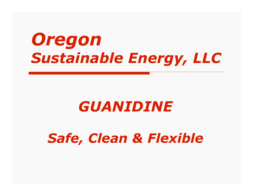# *Oregon Sustainable Energy, LLC*

#### *GUANIDINE*

#### *Safe, Clean & Flexible*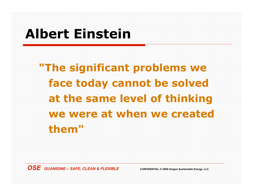#### **Albert Einstein**

**"The significant problems we face today cannot be solved at the same level of thinking we were at when we created them"**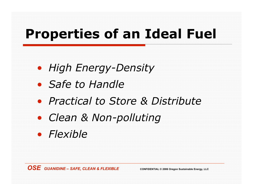#### **Properties of an Ideal Fuel**

- *High Energy-Density*
- *Safe to Handle*
- *Practical to Store & Distribute*
- *Clean & Non-polluting*
- *Flexible*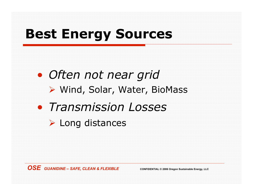#### **Best Energy Sources**

• *Often not near grid* ▶ Wind, Solar, Water, BioMass • *Transmission Losses*

 $\triangleright$  Long distances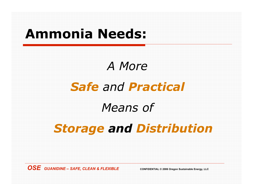#### **Ammonia Needs:**

#### *A More*

#### *Safe and Practical*

#### *Means of*

#### *Storage and Distribution*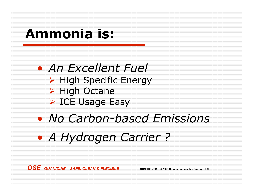#### **Ammonia is:**

• *An Excellent Fuel*  $\triangleright$  High Specific Energy  $\triangleright$  High Octane ▶ ICE Usage Easy

- *No Carbon-based Emissions*
- *A Hydrogen Carrier ?*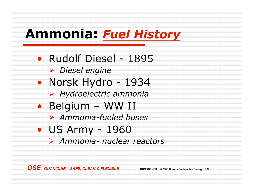#### **Ammonia:** *Fuel History*

- Rudolf Diesel 1895
	- ! *Diesel engine*
- Norsk Hydro 1934
	- ! *Hydroelectric ammonia*
- Belgium WW II
	- ! *Ammonia-fueled buses*
- US Army 1960
	- ! *Ammonia- nuclear reactors*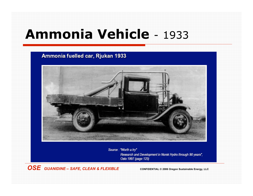#### **Ammonia Vehicle** - 1933

#### Ammonia fuelled car, Rjukan 1933



Source: "Worth a try" Research and Development in Norsk Hydro through 90 years", Oslo 1997 (page 125)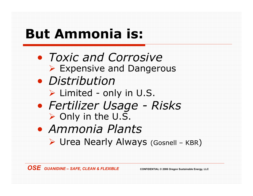# **But Ammonia is:**

- *Toxic and Corrosive* ▶ Expensive and Dangerous
- *Distribution*
	- $\triangleright$  Limited only in U.S.
- *Fertilizer Usage Risks*  $\triangleright$  Only in the U.S.
- *Ammonia Plants*
	- ▶ Urea Nearly Always (Gosnell KBR)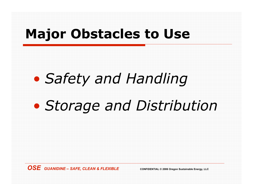#### **Major Obstacles to Use**

# • *Safety and Handling*

# • *Storage and Distribution*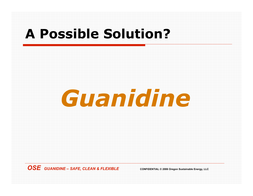#### **A Possible Solution?**

# *Guanidine*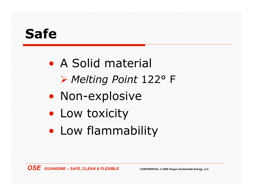#### **Safe**

• A Solid material ! *Melting Point* 122° F • Non-explosive • Low toxicity • Low flammability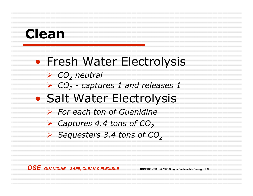#### **Clean**

#### • Fresh Water Electrolysis

- ! *CO2 neutral*
- ! *CO2 captures 1 and releases 1*
- Salt Water Electrolysis
	- ! *For each ton of Guanidine*
	- **► Captures 4.4 tons of CO<sub>2</sub>**
	- **► Sequesters 3.4 tons of CO<sub>2</sub>**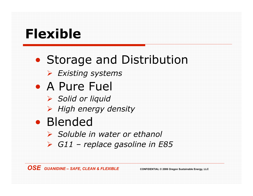#### **Flexible**

### • Storage and Distribution ! *Existing systems*

- A Pure Fuel
	- ! *Solid or liquid*
	- ! *High energy density*
- Blended
	- ! *Soluble in water or ethanol*
	- ! *G11 – replace gasoline in E85*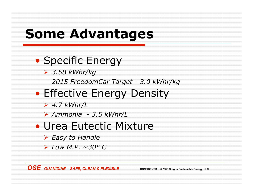#### **Some Advantages**

#### • Specific Energy

! *3.58 kWhr/kg*

*2015 FreedomCar Target - 3.0 kWhr/kg*

#### • Effective Energy Density

- ! *4.7 kWhr/L*
- ! *Ammonia - 3.5 kWhr/L*

#### • Urea Eutectic Mixture

- ! *Easy to Handle*
- ! *Low M.P. ~30° C*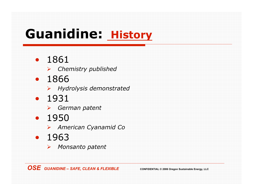#### **Guanidine: History**

- 1861
	- ! *Chemistry published*
- 1866
	- ! *Hydrolysis demonstrated*
- 1931
	- ! *German patent*
- 1950
	- ! *American Cyanamid Co*
- 1963
	- ! *Monsanto patent*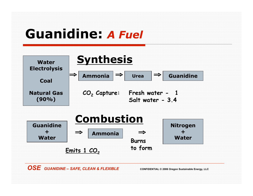#### **Guanidine:** *A Fuel*

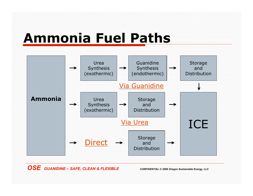#### **Ammonia Fuel Paths**

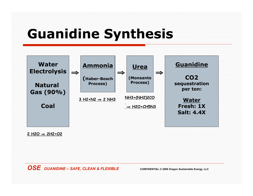#### **Guanidine Synthesis**



 $2 H2O \Rightarrow 2H2+O2$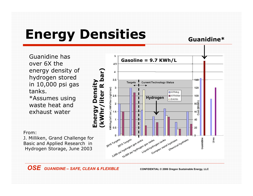# **Energy Densities**

**Guanidine\***

Guanidine has over 6X the energy density of hydrogen stored in 10,000 psi gas tanks. \*Assumes using waste heat and exhaust water

From:

J. Milliken, Grand Challenge for Basic and Applied Research in Hydrogen Storage, June 2003

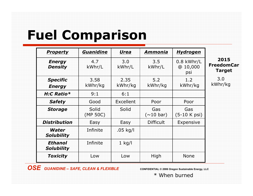### **Fuel Comparison**

| <u> Property</u>                 | Guanidine         | <b>Urea</b>     | Ammonia                 | <b>Hydrogen</b>                |                                     |
|----------------------------------|-------------------|-----------------|-------------------------|--------------------------------|-------------------------------------|
| <b>Energy</b><br>Density         | 4.7<br>kWhr/L     | 3.0<br>kWhr/L   | 3.5<br>kWhr/L           | $0.8$ kWhr/L<br>@10,000<br>psi | 2015<br><b>FreedomCar</b><br>Target |
| <b>Specific</b><br><b>Energy</b> | 3.58<br>kWhr/kg   | 2.35<br>kWhr/kg | 5.2<br>kWhr/kg          | 1.2<br>kWhr/kg                 | 3.0<br>kWhr/kg                      |
| $H:C$ Ratio $*$                  | 9:1               | 6:1             |                         |                                |                                     |
| <b>Safety</b>                    | Good              | Excellent       | Poor                    | Poor                           |                                     |
| <b>Storage</b>                   | Solid<br>(MP 50C) | Solid           | Gas<br>$(\sim\!10$ bar) | Gas<br>(5-10 K psi)            |                                     |
| Distribution                     | Easy              | Easy            | <b>Difficult</b>        | Expensive                      |                                     |
| Water<br><b>Solubility</b>       | Infinite          | .05 kg/l        |                         |                                |                                     |
| Ethanol<br><b>Solubility</b>     | Infinite          | $1$ kg/l        |                         |                                |                                     |
| Toxicity                         | Low               | Low             | High                    | None                           |                                     |

 $\overline{OSE}$  *GUANIDINE – SAFE, CLEAN & FLEXIBLE* **CONFIDENTIAL** © 2006 Oregon Sustainable Energy, LLC

\* When burned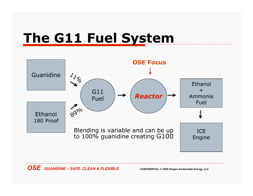

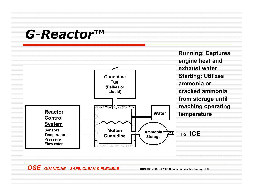#### *G-Reactor***™**

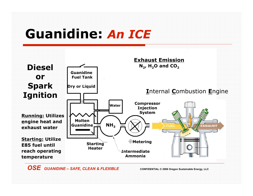#### **Guanidine:** *An ICE*